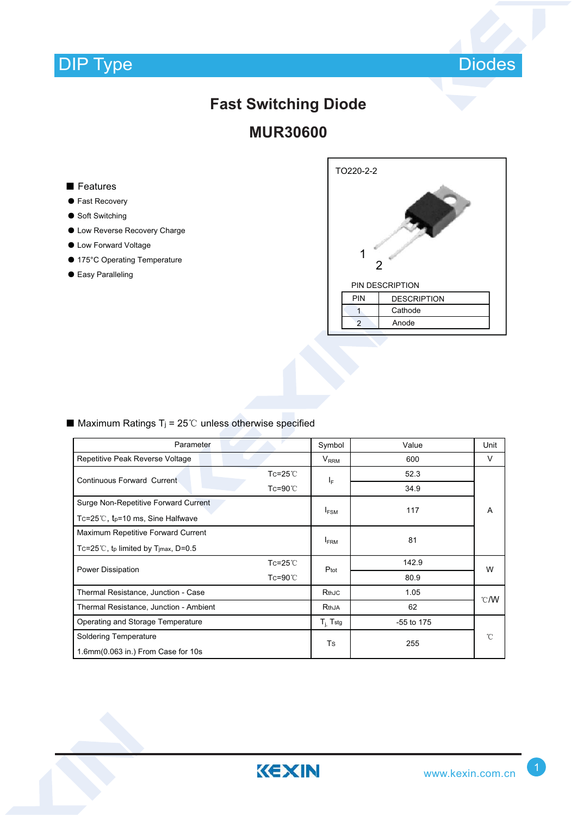

# **Fast Switching Diode**

### **MUR30600**

#### ■ Features

- Fast Recovery
- Soft Switching
- ƽ Low Reverse Recovery Charge
- ƽ Low Forward Voltage
- 175°C Operating Temperature
- Easy Paralleling



#### ■ Maximum Ratings T<sub>j</sub> = 25<sup>°</sup>C unless otherwise specified

| Parameter                                                                 |                    | Symbol         | Value      | Unit |  |
|---------------------------------------------------------------------------|--------------------|----------------|------------|------|--|
| Repetitive Peak Reverse Voltage                                           |                    | $V_{RRM}$      | 600        | V    |  |
| <b>Continuous Forward Current</b>                                         | $Tc = 25^{\circ}C$ | ΙF             | 52.3       | A    |  |
|                                                                           | $Tc = 90^{\circ}$  |                | 34.9       |      |  |
| Surge Non-Repetitive Forward Current                                      |                    |                | 117        |      |  |
| Tc=25 $\degree$ C, t <sub>p</sub> =10 ms, Sine Halfwave                   |                    | $I_{FSM}$      |            |      |  |
| Maximum Repetitive Forward Current                                        |                    |                | 81         |      |  |
| Tc=25 <sup>°</sup> C, t <sub>p</sub> limited by T <sub>jmax</sub> , D=0.5 |                    | <b>FRM</b>     |            |      |  |
| Power Dissipation                                                         | $Tc = 25^{\circ}C$ | Ptot           | 142.9      | W    |  |
|                                                                           | $Tc = 90^{\circ}$  |                | 80.9       |      |  |
| Thermal Resistance, Junction - Case                                       |                    | RthJC          | 1.05       | C/W  |  |
| Thermal Resistance, Junction - Ambient                                    |                    | RthJA          | 62         |      |  |
| Operating and Storage Temperature                                         |                    | $T_{i}$ , Tstg | -55 to 175 |      |  |
| <b>Soldering Temperature</b>                                              |                    | Ts             | 255        | ℃    |  |
| 1.6mm(0.063 in.) From Case for 10s                                        |                    |                |            |      |  |

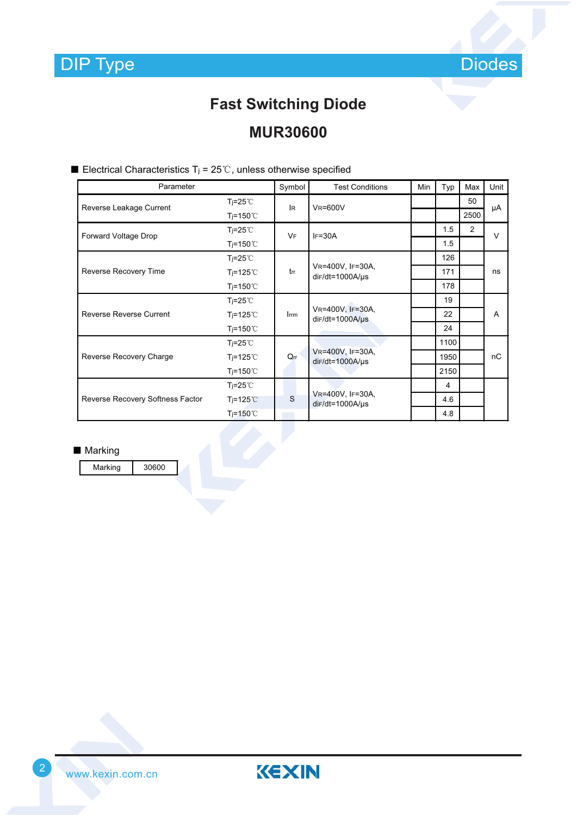

## **Fast Switching Diode**

### **MUR30600**

| Parameter                        |                   | Symbol         | <b>Test Conditions</b>                     | <b>Min</b> | Typ  | Max  | Unit   |
|----------------------------------|-------------------|----------------|--------------------------------------------|------------|------|------|--------|
| Reverse Leakage Current          | $T = 25^{\circ}$  | l <sub>R</sub> | <b>VR=600V</b>                             |            |      | 50   | μA     |
|                                  | $T = 150^{\circ}$ |                |                                            |            |      | 2500 |        |
| Forward Voltage Drop             | $T = 25^{\circ}$  | VF             | $IF=30A$                                   |            | 1.5  | 2    | $\vee$ |
|                                  | $T = 150^{\circ}$ |                |                                            |            | 1.5  |      |        |
|                                  | $T = 25^{\circ}$  | trr            | VR=400V, IF=30A,<br>$dir/dt = 1000A/\mu s$ |            | 126  |      | ns     |
| Reverse Recovery Time            | $T = 125^{\circ}$ |                |                                            |            | 171  |      |        |
|                                  | $T = 150^{\circ}$ |                |                                            |            | 178  |      |        |
|                                  | $T = 25^{\circ}$  | Irrm           | VR=400V, IF=30A,<br>$dir/dt = 1000A/\mu s$ |            | 19   |      | A      |
| <b>Reverse Reverse Current</b>   | $T = 125^{\circ}$ |                |                                            |            | 22   |      |        |
|                                  | $T = 150^{\circ}$ |                |                                            |            | 24   |      |        |
|                                  | $T = 25^{\circ}$  | $Q_{rr}$       | VR=400V, IF=30A,<br>$dir/dt = 1000A/\mu s$ |            | 1100 |      | пC     |
| Reverse Recovery Charge          | $T = 125^{\circ}$ |                |                                            |            | 1950 |      |        |
|                                  | $T = 150^{\circ}$ |                |                                            |            | 2150 |      |        |
|                                  | $T = 25^{\circ}$  | S              | VR=400V, IF=30A,<br>$dir/dt = 1000A/\mu s$ |            | 4    |      |        |
| Reverse Recovery Softness Factor | $T = 125^{\circ}$ |                |                                            |            | 4.6  |      |        |
|                                  | $T = 150^{\circ}$ |                |                                            |            | 4.8  |      |        |

Electrical Characteristics T<sub>j</sub> =  $25^{\circ}$ C, unless otherwise specified

■ Marking

Marking 30600

www.kexin.com.cn <sup>2</sup>

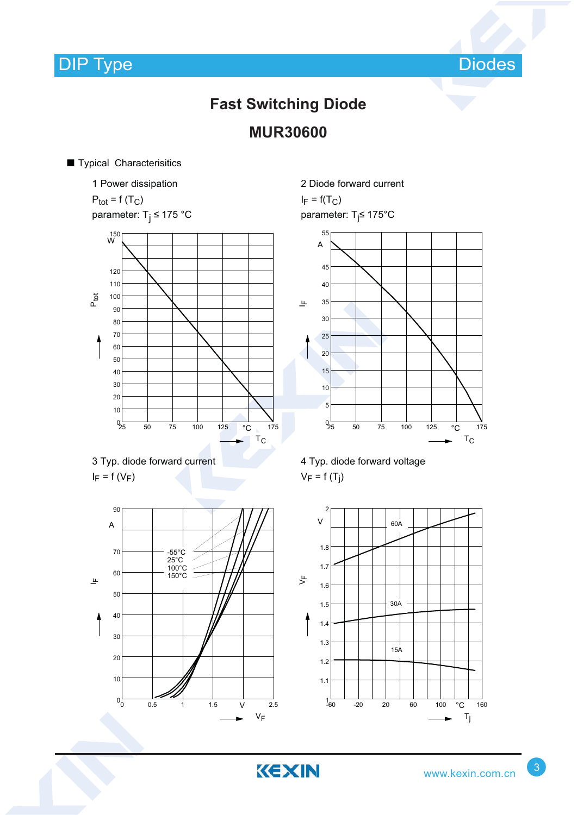Diodes

### **Fast Switching Diode MUR30600**

KEXIN

#### **Typical Characterisitics**

1 Power dissipation  $P_{\text{tot}} = f(T_C)$ parameter:  $T_i \le 175$  °C







2 Diode forward current  $I_F = f(T_C)$ 

parameter: T<sub>j</sub>≤ 175°C







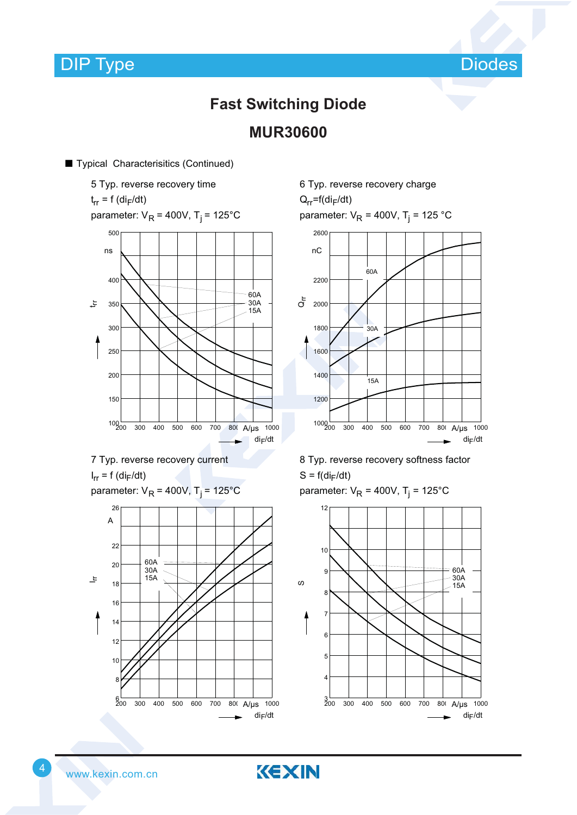Diodes

### **Fast Switching Diode MUR30600**

#### ■ Typical Characterisitics (Continued)

5 Typ. reverse recovery time t<sub>rr</sub> = f (di<sub>F</sub>/dt) parameter: V<sub>R</sub> = 400V, T<sub>j</sub> = 125°C 300 400 500 600 700 800 A/µs 1000  $\blacktriangleright$  di<sub>F</sub>/dt  $100 - 200$ 150 200 250 300 350 400 ns 500 اتل  $60A$ 30A 15A

7 Typ. reverse recovery current

 $I_{rr} = f$  (di<sub>F</sub>/dt)

```
parameter: V<sub>R</sub> = 400V, T<sub>j</sub> = 125°C
```


6 Typ. reverse recovery charge

 $Q_{rr}$ =f(di<sub>F</sub>/dt)

parameter: V<sub>R</sub> = 400V, T<sub>j</sub> = 125 °C



8 Typ. reverse recovery softness factor  $S = f(di_F/dt)$ 

parameter: V<sub>R</sub> = 400V, T<sub>j</sub> = 125°C



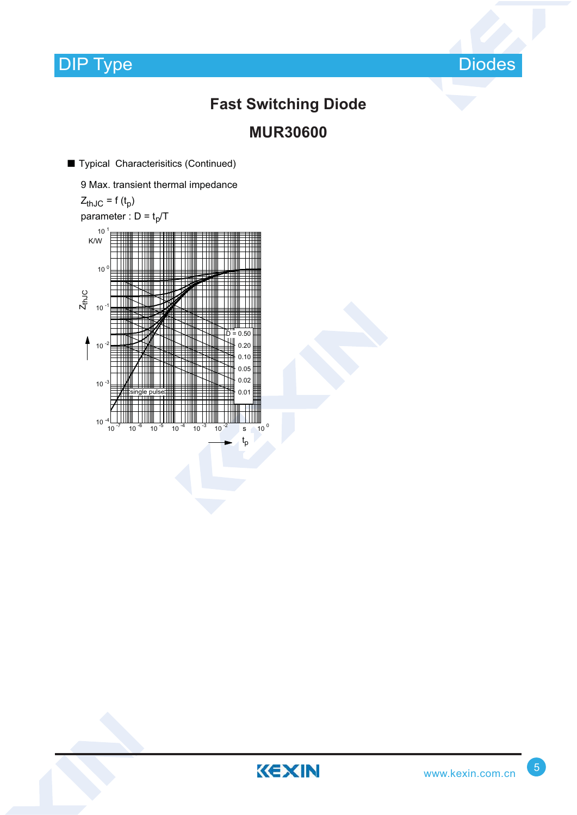

## **Fast Switching Diode MUR30600**

■ Typical Characterisitics (Continued)

9 Max. transient thermal impedance  $Z_{thJC} = f(t_p)$ parameter :  $D = t_p/T$  $10^{-7}$  10  $^{-6}$  10  $^{-5}$  10  $^{-4}$  10  $^{-3}$  10  $^{-2}$  s 10  $^{0}$ t<sub>p</sub>  $\frac{4}{10}$  10  $10$ 10  $10$ <sup>0</sup> 10  $10<sup>1</sup>$ K/W Z<sub>thJC</sub> single pulse 0.01 0.02 0.05 0.10 0.20  $D = 0.50$